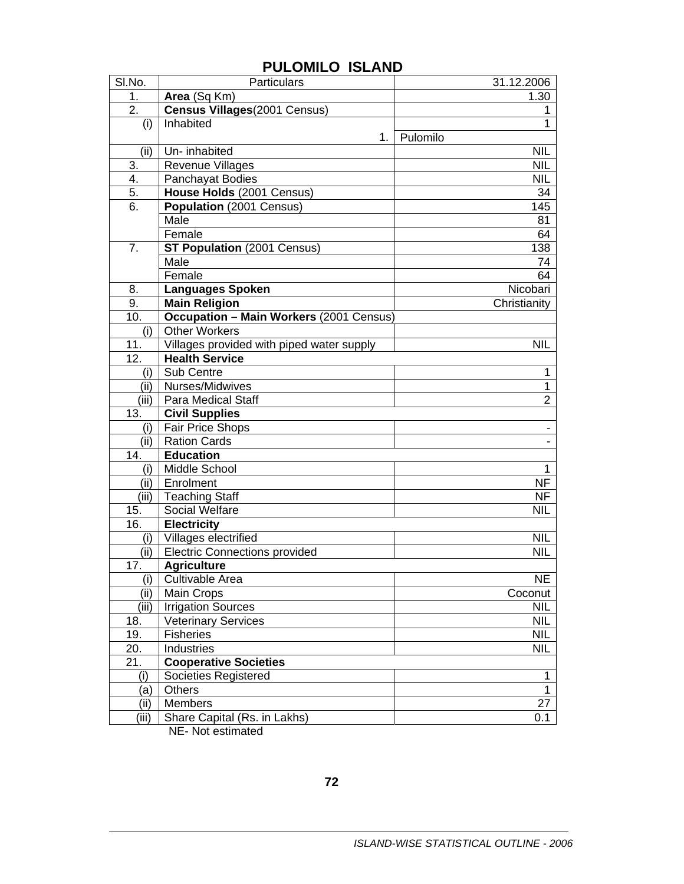| SI.No.           | Particulars                                    | 31.12.2006     |
|------------------|------------------------------------------------|----------------|
| 1.               | Area (Sq Km)                                   | 1.30           |
| 2.               | Census Villages(2001 Census)                   | 1              |
| (i)              | Inhabited                                      | 1              |
|                  | 1.                                             | Pulomilo       |
| (ii)             | Un-inhabited                                   | <b>NIL</b>     |
| 3.               | <b>Revenue Villages</b>                        | <b>NIL</b>     |
| $\overline{4}$ . | Panchayat Bodies                               | <b>NIL</b>     |
| 5.               | House Holds (2001 Census)                      | 34             |
| 6.               | Population (2001 Census)                       | 145            |
|                  | Male                                           | 81             |
|                  | Female                                         | 64             |
| 7.               | ST Population (2001 Census)                    | 138            |
|                  | Male                                           | 74             |
|                  | Female                                         | 64             |
| 8.               | <b>Languages Spoken</b>                        | Nicobari       |
| 9.               | <b>Main Religion</b>                           | Christianity   |
| 10.              | <b>Occupation - Main Workers (2001 Census)</b> |                |
| (i)              | <b>Other Workers</b>                           |                |
| 11.              | Villages provided with piped water supply      | <b>NIL</b>     |
| 12.              | <b>Health Service</b>                          |                |
| (i)              | Sub Centre                                     | 1              |
| (ii)             | Nurses/Midwives                                | 1              |
| (iii)            | <b>Para Medical Staff</b>                      | $\overline{2}$ |
| 13.              | <b>Civil Supplies</b>                          |                |
| (i)              | <b>Fair Price Shops</b>                        | ٠              |
| (ii)             | Ration Cards                                   |                |
| 14.              | <b>Education</b>                               |                |
| (i)              | Middle School                                  | 1              |
| (ii)             | Enrolment                                      | <b>NF</b>      |
| (iii)            |                                                |                |
|                  | <b>Teaching Staff</b>                          | <b>NF</b>      |
| 15.              | Social Welfare                                 | <b>NIL</b>     |
| 16.              | <b>Electricity</b>                             |                |
| (i)              | Villages electrified                           | <b>NIL</b>     |
| (ii)             | <b>Electric Connections provided</b>           | NIL            |
| 17.              | <b>Agriculture</b>                             |                |
| (i)              | Cultivable Area                                | <b>NE</b>      |
| (i)              | <b>Main Crops</b>                              | Coconut        |
| (iii)            | <b>Irrigation Sources</b>                      | <b>NIL</b>     |
| 18.              | <b>Veterinary Services</b>                     | <b>NIL</b>     |
| 19.              | <b>Fisheries</b>                               | NIL            |
| 20.              | Industries                                     | <b>NIL</b>     |
| 21.              | <b>Cooperative Societies</b>                   |                |
| (i)              | Societies Registered                           | 1              |
| (a)              | Others                                         | 1              |
| (i)              | Members                                        | 27             |
| (iii)            | Share Capital (Rs. in Lakhs)                   | 0.1            |

## **PULOMILO ISLAND**